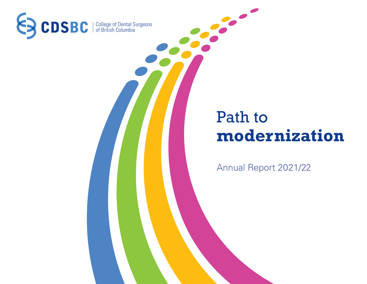

# Path to **modernization**

Annual Report 2021/22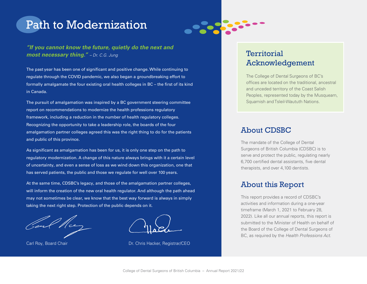# Path to Modernization

*"If you cannot know the future, quietly do the next and most necessary thing." – Dr. C.G. Jung*

The past year has been one of significant and positive change. While continuing to regulate through the COVID pandemic, we also began a groundbreaking effort to formally amalgamate the four existing oral health colleges in BC – the first of its kind in Canada.

The pursuit of amalgamation was inspired by a BC government steering committee report on recommendations to modernize the health professions regulatory framework, including a reduction in the number of health regulatory colleges. Recognizing the opportunity to take a leadership role, the boards of the four amalgamation partner colleges agreed this was the right thing to do for the patients and public of this province.

As significant as amalgamation has been for us, it is only one step on the path to regulatory modernization. A change of this nature always brings with it a certain level of uncertainty, and even a sense of loss as we wind down this organization, one that has served patients, the public and those we regulate for well over 100 years.

At the same time, CDSBC's legacy, and those of the amalgamation partner colleges, will inform the creation of the new oral health regulator. And although the path ahead may not sometimes be clear, we know that the best way forward is always in simply taking the next right step. Protection of the public depends on it.

Carl Roy, Board Chair Dr. Chris Hacker, Registrar/CEO

# **Territorial** Acknowledgement

The College of Dental Surgeons of BC's offices are located on the traditional, ancestral and unceded territory of the Coast Salish Peoples, represented today by the Musqueam, Squamish and Tsleil-Waututh Nations.

# About CDSBC

The mandate of the College of Dental Surgeons of British Columbia (CDSBC) is to serve and protect the public, regulating nearly 6,700 certified dental assistants, five dental therapists, and over 4,100 dentists.

# About this Report

This report provides a record of CDSBC's activities and information during a one-year timeframe (March 1, 2021 to February 28, 2022). Like all our annual reports, this report is submitted to the Minister of Health on behalf of the Board of the College of Dental Surgeons of BC, as required by the *Health Professions Act*.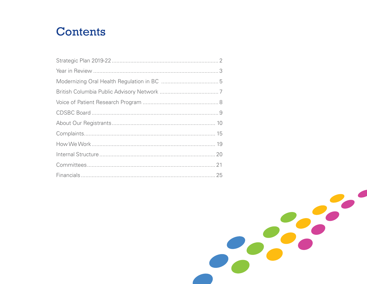# **Contents**

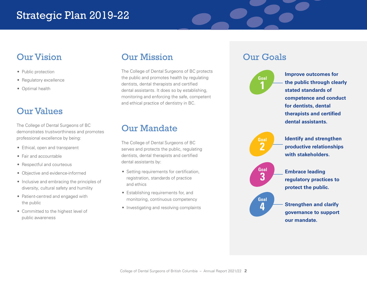# <span id="page-3-0"></span>Strategic Plan 2019-22

# Our Vision

- Public protection
- Requlatory excellence
- Optimal health

# Our Values

The College of Dental Surgeons of BC demonstrates trustworthiness and promotes professional excellence by being:

- Ethical, open and transparent
- Fair and accountable
- Respectful and courteous
- Objective and evidence-informed
- Inclusive and embracing the principles of diversity, cultural safety and humility
- Patient-centred and engaged with the public
- Committed to the highest level of public awareness

# Our Mission Our Goals

The College of Dental Surgeons of BC protects the public and promotes health by regulating dentists, dental therapists and certified dental assistants. It does so by establishing, monitoring and enforcing the safe, competent and ethical practice of dentistry in BC.

# Our Mandate

The College of Dental Surgeons of BC serves and protects the public, regulating dentists, dental therapists and certified dental assistants by:

- Setting requirements for certification, registration, standards of practice and ethics
- Establishing requirements for, and monitoring, continuous competency
- Investigating and resolving complaints



**Improve outcomes for the public through clearly stated standards of competence and conduct for dentists, dental therapists and certified dental assistants.**



**Identify and strengthen productive relationships with stakeholders.**

**Embrace leading regulatory practices to protect the public.**

**Strengthen and clarify governance to support our mandate.**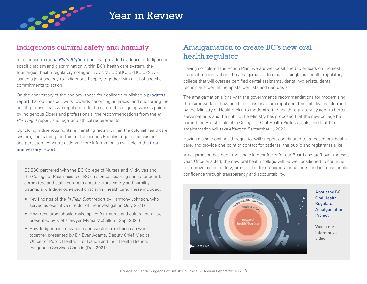<span id="page-4-0"></span>

# Indigenous cultural safety and humility

In response to the *[In Plain Sight](https://engage.gov.bc.ca/app/uploads/sites/613/2021/02/In-Plain-Sight-Data-Report_Dec2020.pdf1_.pdf)* report that provided evidence of Indigenousspecific racism and discrimination within BC's health care system, the four largest health regulatory colleges (BCCNM, CDSBC, CPBC, CPSBC) issued a joint apology to Indigenous People, together with a list of specific commitments to action.

On the anniversary of the apology, these four colleges published a [progress](https://www.cdsbc.org/Documents/Apology-Reporting-Actions-Accomplishments.pdf)  [report](https://www.cdsbc.org/Documents/Apology-Reporting-Actions-Accomplishments.pdf) that outlines our work towards becoming anti-racist and supporting the health professionals we regulate to do the same. This ongoing work is guided by Indigenous Elders and professionals, the recommendations from the *In Plain Sight* report, and legal and ethical requirements.

Upholding Indigenous rights, eliminating racism within the colonial healthcare system, and earning the trust of Indigenous Peoples requires consistent and persistent concrete actions. More information is available in the [first](https://www.cdsbc.org/Documents/Apology-Reporting-Actions-Accomplishments.pdf)  [anniversary report](https://www.cdsbc.org/Documents/Apology-Reporting-Actions-Accomplishments.pdf).

CDSBC partnered with the BC College of Nurses and Midwives and the College of Pharmacists of BC on a virtual learning series for board, committee and staff members about cultural safety and humility, trauma, and Indigenous-specific racism in health care. These included:

- Key findings of the *In Plain Sight* report by Harmony Johnson, who served as executive director of the investigation (July 2021)
- How regulators should make space for trauma and cultural humility, presented by Métis lawyer Myrna McCallum (Sept 2021)
- How Indigenous knowledge and western medicine can work together, presented by Dr. Evan Adams, Deputy Chief Medical Officer of Public Health, First Nation and Inuit Health Branch, Indigenous Services Canada (Dec 2021)

# Amalgamation to create BC's new oral health regulator

Having completed the Action Plan, we are well-positioned to embark on the next stage of modernization: the amalgamation to create a single oral health regulatory college that will oversee certified dental assistants, dental hygienists, dental technicians, dental therapists, dentists and denturists.

The amalgamation aligns with the government's recommendations for modernizing the framework for how health professionals are regulated. This initiative is informed by the Ministry of Health's plan to modernize the health regulatory system to better serve patients and the public. The Ministry has proposed that the new college be named the British Columbia College of Oral Health Professionals, and that the amalgamation will take effect on September 1, 2022.

Having a single oral health regulator will support coordinated team-based oral health care, and provide one point of contact for patients, the public and registrants alike.

Amalgamation has been the single largest focus for our Board and staff over the past year. Once enacted, the new oral health college will be well positioned to continue to improve patient safety, promote better outcomes for patients, and increase public confidence through transparency and accountability.

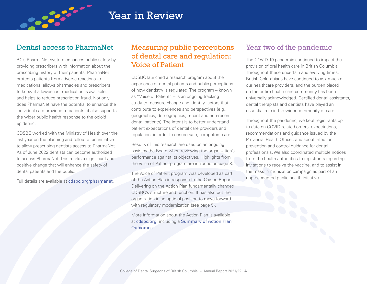

# Dentist access to PharmaNet

BC's PharmaNet system enhances public safety by providing prescribers with information about the prescribing history of their patients. PharmaNet protects patients from adverse reactions to medications, allows pharmacies and prescribers to know if a lower-cost medication is available, and helps to reduce prescription fraud. Not only does PharmaNet have the potential to enhance the individual care provided to patients, it also supports the wider public health response to the opioid epidemic.

CDSBC worked with the Ministry of Health over the last year on the planning and rollout of an initiative to allow prescribing dentists access to PharmaNet. As of June 2022 dentists can become authorized to access PharmaNet. This marks a significant and positive change that will enhance the safety of dental patients and the public.

Full details are available at [cdsbc.org/pharmanet](http://cdsbc.org/pharmanet).

# Measuring public perceptions of dental care and regulation: Voice of Patient

CDSBC launched a research program about the experience of dental patients and public perceptions of how dentistry is regulated. The program – known as "Voice of Patient" – is an ongoing tracking study to measure change and identify factors that contribute to experiences and perspectives (e.g., geographics, demographics, recent and non-recent dental patients). The intent is to better understand patient expectations of dental care providers and regulation, in order to ensure safe, competent care.

Results of this research are used on an ongoing basis by the Board when reviewing the organization's performance against its objectives. Highlights from the Voice of Patient program are included on page 8.

The Voice of Patient program was developed as part of the Action Plan in response to the Cayton Report. Delivering on the Action Plan fundamentally changed CDSBC's structure and function. It has also put the organization in an optimal position to move forward with regulatory modernization (see page 5).

More information about the Action Plan is available at [cdsbc.org](http://cdsbc.org/actionplan), including a [Summary of Action Plan](https://www.cdsbc.org/Documents/Board-Package-Sept2021/11-3.-Summary-of-Action-Plan-Outcomes.pdf)  [Outcomes](https://www.cdsbc.org/Documents/Board-Package-Sept2021/11-3.-Summary-of-Action-Plan-Outcomes.pdf).

# Year two of the pandemic

The COVID-19 pandemic continued to impact the provision of oral health care in British Columbia. Throughout these uncertain and evolving times, British Columbians have continued to ask much of our healthcare providers, and the burden placed on the entire health care community has been universally acknowledged. Certified dental assistants, dental therapists and dentists have played an essential role in the wider community of care.

Throughout the pandemic, we kept registrants up to date on COVID-related orders, expectations, recommendations and guidance issued by the Provincial Health Officer, and about infection prevention and control guidance for dental professionals. We also coordinated multiple notices from the health authorities to registrants regarding invitations to receive the vaccine, and to assist in the mass immunization campaign as part of an unprecedented public health initiative.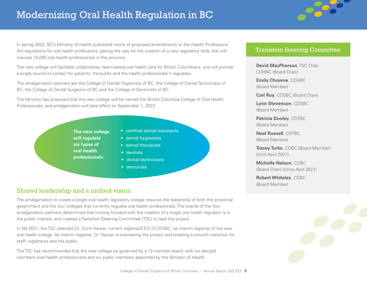# <span id="page-6-0"></span>Modernizing Oral Health Regulation in BC



In spring 2022, BC's Ministry of Health published notice of proposed amendments to the *Health Professions Act* regulations for oral health professions, paving the way for the creation of a new regulatory body that will oversee 15,000 oral health professionals in the province.

The new college will facilitate collaborative, team-based oral health care for British Columbians, and will provide a single source of contact for patients, the public and the health professionals it regulates.

The amalgamation partners are the College of Dental Hygienists of BC, the College of Dental Technicians of BC, the College of Dental Surgeons of BC and the College of Denturists of BC.

The Ministry has proposed that the new college will be named the British Columbia College of Oral Health Professionals, and amalgamation will take effect on September 1, 2022.

> **The new college will regulate six types of oral health professionals:**

- certified dental assistants
- dental hygienists
- dental therapists
- dentists
- dental technicians
- denturists

# Shared leadership and a unified vision

The amalgamation to create a single oral health regulatory college requires the leadership of both the provincial government and the four colleges that currently regulate oral health professionals. The boards of the four amalgamation partners determined that moving forward with the creation of a single oral health regulator is in the public interest, and created a Transition Steering Committee (TSC) to lead the project.

In fall 2021, the TSC selected Dr. Chris Hacker, current registrar/CEO of CDSBC, as interim registrar of the new oral health college. As interim registrar, Dr. Hacker is overseeing the project and enabling a smooth transition for staff, registrants and the public.

The TSC has recommended that the new college be governed by a 12-member board, with six elected members (oral health professionals) and six public members appointed by the Minister of Health.

# Transition Steering Committee

**David MacPherson**, TSC Chair, CDHBC (Board Chair)

**Emily Chowne**, CDHBC (Board Member)

**Carl Roy**, CDSBC (Board Chair)

**Lynn Stevenson**, CDSBC (Board Member)

**Patricia Dooley**, CDTBC (Board Member)

**Neal Russell**, CDTBC (Board Member)

**Tracey Turko**, CDBC (Board Member) (Until April 2021)

**Michelle Nelson**, CDBC (Board Chair) (Since April 2021)

**Robert Whiteley**, CDBC (Board Member)

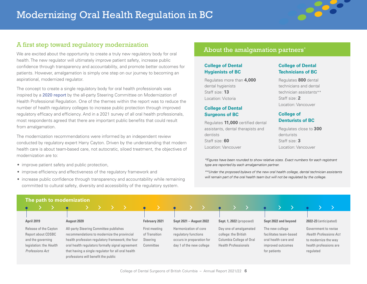

# A first step toward regulatory modernization

We are excited about the opportunity to create a truly new regulatory body for oral health. The new regulator will ultimately improve patient safety, increase public confidence through transparency and accountability, and promote better outcomes for patients. However, amalgamation is simply one step on our journey to becoming an aspirational, modernized regulator.

The concept to create a single regulatory body for oral health professionals was inspired by a [2020 report](https://www2.gov.bc.ca/assets/gov/health/practitioner-pro/professional-regulation/recommendations-to-modernize-regulatory-framework.pdf) by the all-party Steering Committee on Modernization of Health Professional Regulation. One of the themes within the report was to reduce the number of health regulatory colleges to increase public protection through improved regulatory efficacy and efficiency. And in a 2021 survey of all oral health professionals, most respondents agreed that there are important public benefits that could result from amalgamation.

The modernization recommendations were informed by an independent review conducted by regulatory expert Harry Cayton. Driven by the understanding that modern health care is about team-based care, not autocratic, siloed treatment, the objectives of modernization are to:

- improve patient safety and public protection,
- improve efficiency and effectiveness of the regulatory framework and
- increase public confidence through transparency and accountability while remaining committed to cultural safety, diversity and accessibility of the regulatory system.

# About the amalgamation partners<sup>\*</sup>

# **College of Dental Hygienists of BC**

Regulates more than **4,000** dental hygienists Staff size: **13** Location: Victoria

### **College of Dental Surgeons of BC**

# Regulates **11,000** certified dental assistants, dental therapists and dentists Staff size: **60** Location: Vancouver

# **College of Dental Technicians of BC**

Regulates **800** dental technicians and dental technician assistants\*\* Staff size: **2** Location: Vancouver

# **College of Denturists of BC**

Regulates close to **300** denturists Staff size: **3** Location: Vancouver

*\*Figures have been rounded to show relative sizes. Exact numbers for each registrant type are reported by each amalgamation partner.*

*\*\*Under the proposed bylaws of the new oral health college, dental technician assistants will remain part of the oral health team but will not be regulated by the college.*

| The path to modernization                                                                                                    |                                                                                                                                                                                                                                                                                            |                                                         |                                                                                                        |                                                                                                           |                                                                                                        |                                                                                                                      |
|------------------------------------------------------------------------------------------------------------------------------|--------------------------------------------------------------------------------------------------------------------------------------------------------------------------------------------------------------------------------------------------------------------------------------------|---------------------------------------------------------|--------------------------------------------------------------------------------------------------------|-----------------------------------------------------------------------------------------------------------|--------------------------------------------------------------------------------------------------------|----------------------------------------------------------------------------------------------------------------------|
|                                                                                                                              |                                                                                                                                                                                                                                                                                            |                                                         |                                                                                                        |                                                                                                           |                                                                                                        |                                                                                                                      |
| <b>April 2019</b>                                                                                                            | <b>August 2020</b>                                                                                                                                                                                                                                                                         | <b>February 2021</b>                                    | Sept 2021 - August 2022                                                                                | Sept. 1, 2022 (proposed)                                                                                  | Sept 2022 and beyond                                                                                   | 2022-23 (anticipated)                                                                                                |
| Release of the Cayton<br><b>Report about CDSBC</b><br>and the governing<br>legislation: the Health<br><b>Professions Act</b> | All-party Steering Committee publishes<br>recommendations to modernize the provincial<br>health profession regulatory framework; the four<br>oral health regulators formally signal agreement<br>that having a single regulator for all oral health<br>professions will benefit the public | First meeting<br>of Transition<br>Steering<br>Committee | Harmonization of core<br>regulatory functions<br>occurs in preparation for<br>day 1 of the new college | Day one of amalgamated<br>college: the British<br>Columbia College of Oral<br><b>Health Professionals</b> | The new college<br>facilitates team-based<br>oral health care and<br>improved outcomes<br>for patients | Government to revise<br><b>Health Professions Act</b><br>to modernize the way<br>health professions are<br>regulated |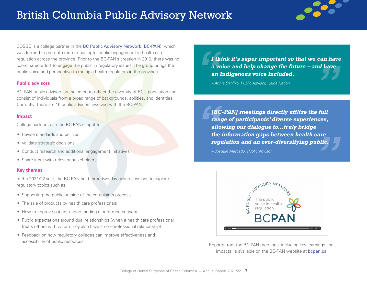# <span id="page-8-0"></span>British Columbia Public Advisory Network



CDSBC is a college partner in the [BC Public Advisory Network \(BC-PAN\)](https://www.bcpan.ca/), which was formed to promote more meaningful public engagement in health care regulation across the province. Prior to the BC-PAN's creation in 2019, there was no coordinated effort to engage the public in regulatory issues. The group brings the public voice and perspective to multiple health regulators in the province.

#### **Public advisors**

BC-PAN public advisors are selected to reflect the diversity of BC's population and consist of individuals from a broad range of backgrounds, abilities, and identities. Currently, there are 16 public advisors involved with the BC-PAN.

#### **Impact**

College partners use the BC-PAN's input to:

- Revise standards and policies
- Validate strategic decisions
- Conduct research and additional engagement initiatives
- Share input with relevant stakeholders

#### **Key themes**

In the 2021/22 year, the BC-PAN held three two-day online sessions to explore regulatory topics such as:

- Supporting the public outside of the complaints process
- The sale of products by health care professionals
- How to improve patient understanding of informed consent
- Public expectations around dual relationships (when a health care professional treats others with whom they also have a non-professional relationship)
- Feedback on how regulatory colleges can improve effectiveness and accessibility of public resources

*I* th<br>
a vo<br>
an l<br>
- Ann **a voice and help change the future – and have<br>
<b>an Indigenous voice included.**<br>
- Annie Danilko, Public Advisor, Haida Nation *I think it's super important so that we can have an Indigenous voice included.*

*– Annie Danilko, Public Advisor, Haida Nation*

**Example 18**<br> **Example 18**<br> **Example 18**<br> **Example 18** *blic.*<br>*blic. [BC-PAN] meetings directly utilize the full range of participants' diverse experiences, allowing our dialogue to...truly bridge the information gaps between health care regulation and an ever-diversifying public.*

*– Joaquin Mercado, Public Advisor* 



Reports from the BC-PAN meetings, including key learnings and impacts, is available on the BC-PAN website at [bcpan.ca](http://bcpan.ca)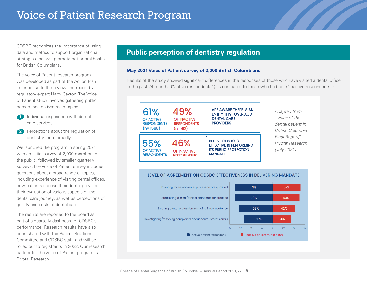<span id="page-9-0"></span>CDSBC recognizes the importance of using data and metrics to support organizational strategies that will promote better oral health for British Columbians.

The Voice of Patient research program was developed as part of the Action Plan in response to the review and report by regulatory expert Harry Cayton. The Voice of Patient study involves gathering public perceptions on two main topics:

- **1** Individual experience with dental care services
- **2** Perceptions about the regulation of dentistry more broadly

We launched the program in spring 2021 with an initial survey of 2,000 members of the public, followed by smaller quarterly surveys. The Voice of Patient survey includes questions about a broad range of topics, including experience of visiting dental offices, how patients choose their dental provider, their evaluation of various aspects of the dental care journey, as well as perceptions of quality and costs of dental care.

The results are reported to the Board as part of a quarterly dashboard of CDSBC's performance. Research results have also been shared with the Patient Relations Committee and CDSBC staff, and will be rolled out to registrants in 2022. Our research partner for the Voice of Patient program is Pivotal Research.

# **Public perception of dentistry regulation**

### **May 2021 Voice of Patient survey of 2,000 British Columbians**

Results of the study showed significant differences in the responses of those who have visited a dental office in the past 24 months ("active respondents") as compared to those who had not ("inactive respondents").



*"Voice of the dental patient in British Columbia Final Report," Pivotal Research (July 2021)*



### LEVEL OF AGREEMENT ON CDSBC EFFECTIVENESS IN DELIVERING MANDATE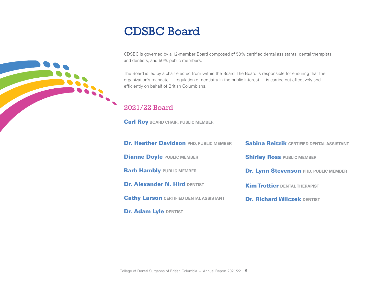# CDSBC Board

CDSBC is governed by a 12-member Board composed of 50% certified dental assistants, dental therapists and dentists, and 50% public members.

The Board is led by a chair elected from within the Board. The Board is responsible for ensuring that the organization's mandate — regulation of dentistry in the public interest — is carried out effectively and efficiently on behalf of British Columbians.

# 2021/22 Board

Carl Roy **BOARD CHAIR, PUBLIC MEMBER**

**Dr. Heather Davidson PHD, PUBLIC MEMBER** Dianne Doyle **PUBLIC MEMBER** Barb Hambly **PUBLIC MEMBER Dr. Alexander N. Hird DENTIST Cathy Larson CERTIFIED DENTAL ASSISTANT Dr. Adam Lyle DENTIST** Sabina Reitzik **CERTIFIED DENTAL ASSISTANT Shirley Ross PUBLIC MEMBER** Dr. Lynn Stevenson **PHD, PUBLIC MEMBER Kim Trottier DENTAL THERAPIST Dr. Richard Wilczek DENTIST** 

<span id="page-10-0"></span>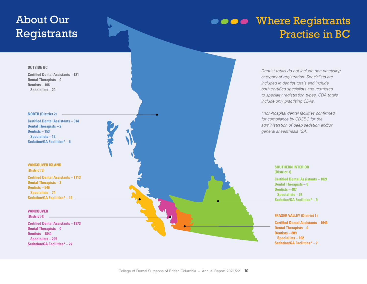# <span id="page-11-0"></span>About Our Registrants

# **●●●●** Where Registrants Practise in BC



College of Dental Surgeons of British Columbia – Annual Report 2021/22 **10**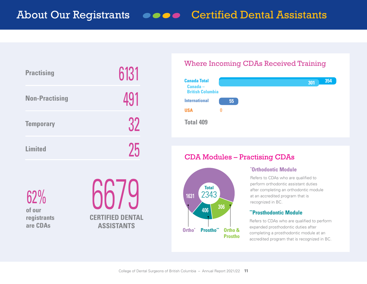| <b>Practising</b>     | 6131 |
|-----------------------|------|
| <b>Non-Practising</b> | 491  |
| <b>Temporary</b>      | 37   |
| <b>Limited</b>        | 25   |



**of our registrants are CDAs**



# Where Incoming CDAs Received Training



# CDA Modules – Practising CDAs

**Ortho & Prostho**

# **\* Orthodontic Module**

Refers to CDAs who are qualified to perform orthodontic assistant duties after completing an orthodontic module at an accredited program that is recognized in BC.

# **\*\*Prosthodontic Module**

Refers to CDAs who are qualified to perform expanded prosthodontic duties after completing a prosthodontic module at an accredited program that is recognized in BC.

College of Dental Surgeons of British Columbia – Annual Report 2021/22 **11**

**Ortho\* Prostho\*\***

**1631**

**<sup>406</sup> <sup>306</sup>**

**Total** 2343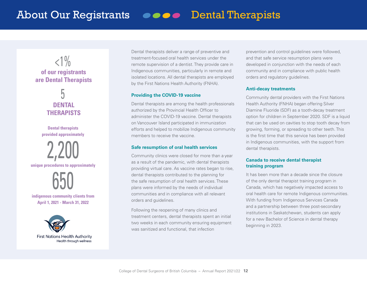



**Dental therapists provided approximately** 



650

**indigenous community clients from April 1, 2021 - March 31, 2022**



Dental therapists deliver a range of preventive and treatment-focused oral health services under the remote supervision of a dentist. They provide care in Indigenous communities, particularly in remote and isolated locations. All dental therapists are employed by the First Nations Health Authority (FNHA).

#### **Providing the COVID-19 vaccine**

Dental therapists are among the health professionals authorized by the Provincial Health Officer to administer the COVID-19 vaccine. Dental therapists on Vancouver Island participated in immunization efforts and helped to mobilize Indigenous community members to receive the vaccine.

#### **Safe resumption of oral health services**

Community clinics were closed for more than a year as a result of the pandemic, with dental therapists providing virtual care. As vaccine rates began to rise, dental therapists contributed to the planning for the safe resumption of oral health services. These plans were informed by the needs of individual communities and in compliance with all relevant orders and guidelines.

Following the reopening of many clinics and treatment centers, dental therapists spent an initial two weeks in each community ensuring equipment was sanitized and functional, that infection

prevention and control guidelines were followed, and that safe service resumption plans were developed in conjunction with the needs of each community and in compliance with public health orders and regulatory guidelines.

#### **Anti-decay treatments**

Community dental providers with the First Nations Health Authority (FNHA) began offering Silver Diamine Fluoride (SDF) as a tooth-decay treatment option for children in September 2020. SDF is a liquid that can be used on cavities to stop tooth decay from growing, forming, or spreading to other teeth. This is the first time that this service has been provided in Indigenous communities, with the support from dental therapists.

#### **Canada to receive dental therapist training program**

It has been more than a decade since the closure of the only dental therapist training program in Canada, which has negatively impacted access to oral health care for remote Indigenous communities. With funding from Indigenous Services Canada and a partnership between three post-secondary institutions in Saskatchewan, students can apply for a new Bachelor of Science in dental therapy beginning in 2023.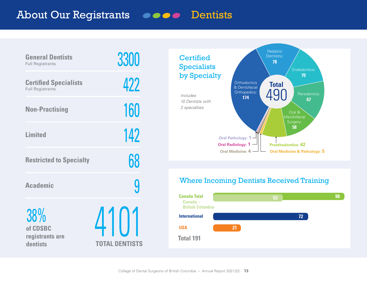# About Our Registrants  $\bullet \bullet \bullet \bullet$  Dentists

| <b>General Dentists</b><br><b>Full Registrants</b>      | 3300                          | <b>Certified</b><br><b>Specialists</b>                                                             |
|---------------------------------------------------------|-------------------------------|----------------------------------------------------------------------------------------------------|
| <b>Certified Specialists</b><br><b>Full Registrants</b> | 422                           | by Specialty<br>Orthodontics<br>& Dentofacial<br>Orthopedics:<br>Includes<br>Ľ                     |
| <b>Non-Practising</b>                                   | 160                           | 174<br>10 Dentists with<br>2 specialties                                                           |
| <b>Limited</b>                                          | 142                           | <b>Oral Pathology: 1</b><br><b>Oral Radiology: 1</b>                                               |
| <b>Restricted to Specialty</b>                          | 68                            | <b>Oral Medicine: 4</b>                                                                            |
| <b>Academic</b>                                         |                               | <b>Where Incoming Dentists</b><br><b>Canada Total</b>                                              |
| 38%<br>of CDSBC<br>registrants are<br>dentists          | 4101<br><b>TOTAL DENTISTS</b> | Canada-<br><b>British Columbia</b><br><b>International</b><br>21<br><b>USA</b><br><b>Total 191</b> |



# **Received Training**

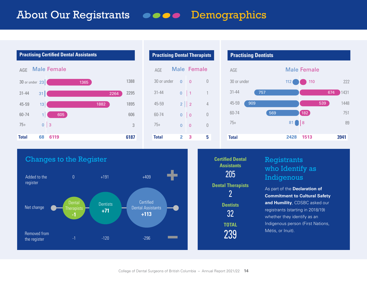# About Our Registrants  $\bullet \bullet \bullet \bullet$  Demographics



| <b>Practising Dental Therapists</b> |                 |                |                |  |  |  |  |  |  |
|-------------------------------------|-----------------|----------------|----------------|--|--|--|--|--|--|
| AGF                                 | Male Female     |                |                |  |  |  |  |  |  |
| 30 or under                         | $\Omega$        | $\Omega$       | N              |  |  |  |  |  |  |
| $31 - 44$                           | $0 \mid 1$      |                | 1              |  |  |  |  |  |  |
| 45-59                               | $2 \parallel 2$ |                | $\overline{4}$ |  |  |  |  |  |  |
| 60-74                               | 0               | $\overline{0}$ | Λ              |  |  |  |  |  |  |
| $75+$                               | $\Omega$        | $\Omega$       | Λ              |  |  |  |  |  |  |
| <b>Total</b>                        | 2               | 3              | г,             |  |  |  |  |  |  |

#### $112$   $\bullet$  110 757 **674** 674 909 539 8 81 569 Male Female **Total 2428 1513 3941** 182 30 or under 31-44 45-59 60-74 75+ 222 1431 1448 751 89 AGE

# Changes to the Register



**Certified Dental Assistants** 205 **Dental Therapists**  $\overline{\phantom{a}}$ **Dentists** 32 **TOTAL** 239

# Registrants who Identify as Indigenous

As part of the **[Declaration of](https://www.cdsbc.org/about-cdsbc/cultural-safety-humility)  [Commitment to Cultural Safety](https://www.cdsbc.org/about-cdsbc/cultural-safety-humility)  [and Humility](https://www.cdsbc.org/about-cdsbc/cultural-safety-humility)**, CDSBC asked our registrants (starting in 2018/19) whether they identify as an Indigenous person (First Nations, Métis, or Inuit).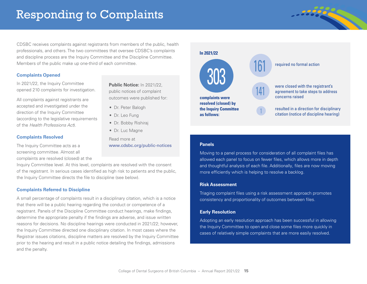# <span id="page-16-0"></span>Responding to Complaints

CDSBC receives complaints against registrants from members of the public, health professionals, and others. The two committees that oversee CDSBC's complaints and discipline process are the Inquiry Committee and the Discipline Committee. Members of the public make up one-third of each committee.

#### **Complaints Opened**

In 2021/22, the Inquiry Committee opened 210 complaints for investigation.

All complaints against registrants are accepted and investigated under the direction of the Inquiry Committee (according to the legislative requirements of the *Health Professions Act*).

#### **Complaints Resolved**

The Inquiry Committee acts as a screening committee. Almost all complaints are resolved (closed) at the **Public Notice:** In 2021/22, public notices of complaint outcomes were published for:

- Dr. Peter Balogh
- Dr. Leo Fung
- Dr. Bobby Rishiraj
- Dr. Luc Magne

Read more at [www.cdsbc.org/public-notices](http://www.cdsbc.org/public-notices)

Inquiry Committee level. At this level, complaints are resolved with the consent of the registrant. In serious cases identified as high risk to patients and the public, the Inquiry Committee directs the file to discipline (see below).

#### **Complaints Referred to Discipline**

A small percentage of complaints result in a disciplinary citation, which is a notice that there will be a public hearing regarding the conduct or competence of a registrant. Panels of the Discipline Committee conduct hearings, make findings, determine the appropriate penalty if the findings are adverse, and issue written reasons for decisions. No discipline hearings were conducted in 2021/22; however, the Inquiry Committee directed one disciplinary citation. In most cases where the Registrar issues citations, discipline matters are resolved by the Inquiry Committee prior to the hearing and result in a public notice detailing the findings, admissions and the penalty.



#### **Panels**

Moving to a panel process for consideration of all complaint files has allowed each panel to focus on fewer files, which allows more in depth and thoughtful analysis of each file. Additionally, files are now moving more efficiently which is helping to resolve a backlog.

#### **Risk Assessment**

Triaging complaint files using a risk assessment approach promotes consistency and proportionality of outcomes between files.

#### **Early Resolution**

Adopting an early resolution approach has been successful in allowing the Inquiry Committee to open and close some files more quickly in cases of relatively simple complaints that are more easily resolved.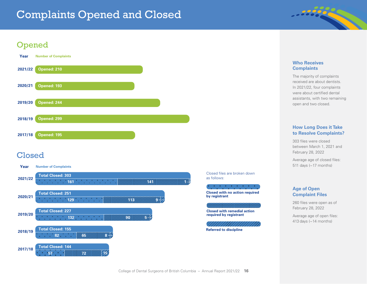# Complaints Opened and Closed

# Opened

| 20232224 Opened: 210  |                               |
|-----------------------|-------------------------------|
|                       | ----------------------------- |
|                       |                               |
|                       |                               |
|                       |                               |
|                       |                               |
|                       |                               |
|                       |                               |
|                       |                               |
|                       |                               |
| 2020 212 Opened: 193  |                               |
|                       |                               |
|                       |                               |
|                       |                               |
|                       |                               |
|                       |                               |
|                       |                               |
|                       |                               |
|                       |                               |
|                       |                               |
|                       |                               |
|                       |                               |
|                       |                               |
|                       |                               |
|                       |                               |
|                       |                               |
| 2019 2020 Opened: 244 |                               |
|                       |                               |
|                       |                               |
|                       |                               |
|                       |                               |
|                       |                               |
|                       |                               |
|                       |                               |
|                       |                               |
| 2018/1921 Opened: 299 |                               |
|                       |                               |
|                       |                               |
|                       |                               |
|                       |                               |
|                       |                               |
|                       |                               |
|                       |                               |
|                       |                               |
|                       |                               |
|                       |                               |
| 2017/182 Opened: 195  |                               |
|                       |                               |
|                       |                               |
|                       |                               |
|                       |                               |

# $\mathbf{Closed}$ **2017/18 Opened: 195**

**161 141 1 2021/22 Year Number of Complaints**

|             | <b>Total Closed: 303</b> |
|-------------|--------------------------|
| $2021/22$ . | 141<br>161<br>d en       |
|             |                          |
|             | <b>Total Closed: 251</b> |
| 2020/21     | 113<br>29<br>-9          |
|             |                          |
|             | <b>Total Closed: 227</b> |
| 2019/20     | 132<br>90                |
|             |                          |
|             | <b>Total Closed: 155</b> |
| 2018/19     |                          |
|             | -65<br>$8 -$<br>82       |
|             |                          |
| 2017/18     | <b>Total Closed: 144</b> |
|             | 72<br>⁄15                |
|             |                          |

Closed files are broken down as follows:

**2017/18 Total Closed: 144**

**Closed with no action required by registrant**

**Closed with remedial action required by registrant**



### **Who Receives Complaints**

**129 <b>129 129 <b>129 129**  129 **129**  129 **129**  129 **129**  129 **129**  129 **129**  129 **129**  129 **129**  129 **129**  129 **129**  129 **129**  129 **129**  129 **129**  129 **129**  129 **129**  129 **129**  129 **129**  129 **129**  129 **1 161 161 161 161 161 161 161 161 161 161 161 161 161 161 161 161 161 161 161 161 161 161 161 161 161 161 161 161 161 161 161 161 161 161 161 161 161** received are about dentists. In 2021/22, four complaints assistants, with two remaining open and two closed.

# **How Long Does it Take to Resolve Complaints?**

303 files were closed between March 1, 2021 and February 28, 2022

Average age of closed files: 511 days (~17 months)

# **Age of Open Complaint Files**

260 files were open as of February 28, 2022

Average age of open files: 413 days (~14 months)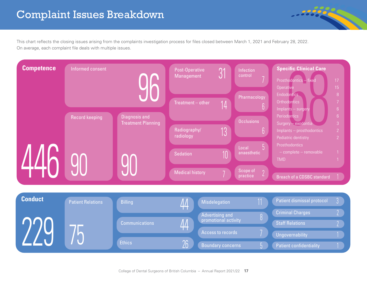# Complaint Issues Breakdown



This chart reflects the closing issues arising from the complaints investigation process for files closed between March 1, 2021 and February 28, 2022. On average, each complaint file deals with multiple issues.



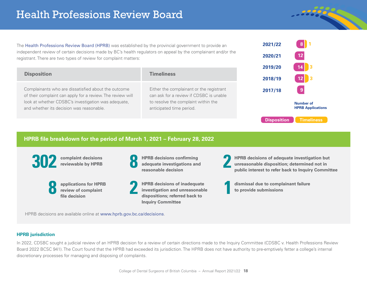# Health Professions Review Board

| <b>Disposition</b>                                                                                                                                                                                                   | <b>Timeliness</b>                                                                                                                                      |  |
|----------------------------------------------------------------------------------------------------------------------------------------------------------------------------------------------------------------------|--------------------------------------------------------------------------------------------------------------------------------------------------------|--|
| Complainants who are dissatisfied about the outcome<br>of their complaint can apply for a review. The review will<br>look at whether CDSBC's investigation was adequate,<br>and whether its decision was reasonable. | Either the complainant or the registrant<br>can ask for a review if CDSBC is unable<br>to resolve the complaint within the<br>anticipated time period. |  |

**9 12 3 2020/21 2017/18 2018/19 14 3 12 2021/22 1 2019/20 8** 

**Disposition Timeliness**

**Number of HPRB Applications**

# **HPRB file breakdown for the period of March 1, 2021 – February 28, 2022**

The [Health Professions Review Board \(HPRB\)](http://www.hprb.gov.bc.ca/) was established by the provincial government to provide an independent review of certain decisions made by BC's health regulators on appeal by the complainant and/or the

> **complaint decisions reviewable by HPRB**

registrant. There are two types of review for complaint matters:

**applications for HPRB review of complaint file decision** 



**HPRB decisions of inadequate investigation and unreasonable dispositions; referred back to Inquiry Committee 8 2 2 1PRB** decisions of inadequate<br>review of complaint<br>file decision<br>file decision

**HPRB decisions of adequate investigation but unreasonable disposition; determined not in public interest to refer back to Inquiry Committee**

**dismissal due to complainant failure to provide submissions**

HPRB decisions are available online at www.hprb.gov.bc.ca/decisions.

#### **HPRB jurisdiction**

In 2022, CDSBC sought a judicial review of an HPRB decision for a review of certain directions made to the Inquiry Committee (CDSBC v. Health Professions Review Board 2022 BCSC 941). The Court found that the HPRB had exceeded its jurisdiction. The HPRB does not have authority to pre-emptively fetter a college's internal discretionary processes for managing and disposing of complaints.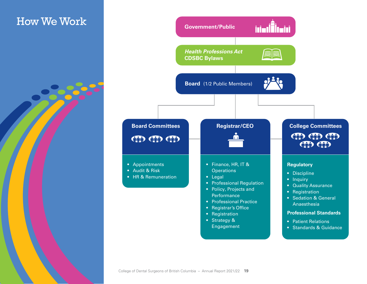# <span id="page-20-0"></span>How We Work



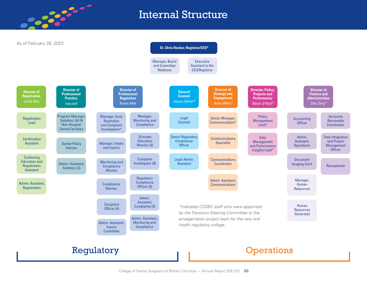<span id="page-21-0"></span>

# Internal Structure

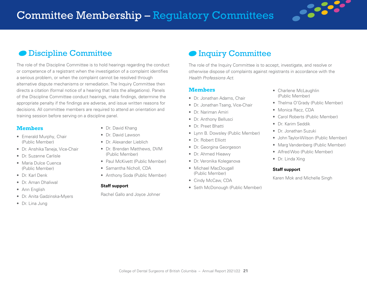

# <span id="page-22-0"></span>Discipline Committee

The role of the Discipline Committee is to hold hearings regarding the conduct or competence of a registrant when the investigation of a complaint identifies a serious problem, or when the complaint cannot be resolved through alternative dispute mechanisms or remediation. The Inquiry Committee then directs a citation (formal notice of a hearing that lists the allegations). Panels of the Discipline Committee conduct hearings, make findings, determine the appropriate penalty if the findings are adverse, and issue written reasons for decisions. All committee members are required to attend an orientation and training session before serving on a discipline panel.

# **Members**

- Emerald Murphy, Chair (Public Member)
- Dr. Anshika Taneja, Vice-Chair
- Dr. Suzanne Carlisle
- Maria Dulce Cuenca (Public Member)
- Dr. Karl Denk
- Dr. Aman Dhaliwal
- Ann English
- Dr. Anita Gadzinska-Myers
- Dr. Lina Jung
- Dr. David Khang
- Dr. David Lawson
- Dr. Alexander Lieblich
- Dr. Brendan Matthews, DVM (Public Member)
- Paul McKivett (Public Member)
- Samantha Nicholl, CDA
- Anthony Soda (Public Member)

# **Staff support**

Rachel Gallo and Joyce Johner

# Inquiry Committee

The role of the Inquiry Committee is to accept, investigate, and resolve or otherwise dispose of complaints against registrants in accordance with the *Health Professions Act*.

# **Members**

- Dr. Jonathan Adams, Chair
- Dr. Jonathan Tsang, Vice-Chair
- Dr. Nariman Amiri
- Dr. Anthony Bellusci
- Dr. Preet Bhatti
- Lynn B. Dowsley (Public Member)
- Dr. Robert Elliott
- Dr. Georgina Georgeson
- Dr. Ahmed Hieawy
- Dr. Veronika Koleganova
- Michael MacDougall (Public Member)
- Cindy McCaw, CDA
- Seth McDonough (Public Member)
- Charlene McLaughlin (Public Member)
- Thelma O'Grady (Public Member)
- Monica Racz, CDA
- Carol Roberts (Public Member)
- Dr. Karim Seddik
- Dr. Jonathan Suzuki
- John Taylor-Wilson (Public Member)
- Marg Vandenberg (Public Member)
- Alfred Woo (Public Member)
- Dr. Linda Xing

# **Staff support**

Karen Mok and Michelle Singh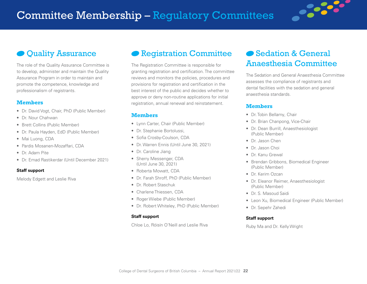

# Quality Assurance

The role of the Quality Assurance Committee is to develop, administer and maintain the Quality Assurance Program in order to maintain and promote the competence, knowledge and professionalism of registrants.

# **Members**

- Dr. David Vogt, Chair, PhD (Public Member)
- Dr. Nour Chahwan
- Brett Collins (Public Member)
- Dr. Paula Hayden, EdD (Public Member)
- Mai Luong, CDA
- Pardis Mosanen-Mozaffari, CDA
- Dr. Adam Pite
- Dr. Emad Rastikerdar (Until December 2021)

# **Staff support**

Melody Edgett and Leslie Riva

# Registration Committee

The Registration Committee is responsible for granting registration and certification. The committee reviews and monitors the policies, procedures and provisions for registration and certification in the best interest of the public and decides whether to approve or deny non-routine applications for initial registration, annual renewal and reinstatement.

# **Members**

- Lynn Carter, Chair (Public Member)
- Dr. Stephanie Bortolussi,
- Sofia Crosby-Coulson, CDA
- Dr. Warren Ennis (Until June 30, 2021)
- Dr. Caroline Jiang
- Sherry Messenger, CDA (Until June 30, 2021)
- Roberta Mowatt, CDA
- Dr. Farah Shroff, PhD (Public Member)
- Dr. Robert Staschuk
- Charlene Thiessen, CDA
- Roger Wiebe (Public Member)
- Dr. Robert Whiteley, PhD (Public Member)

# **Staff support**

Chloe Lo, Róisín O'Neill and Leslie Riva

# ● Sedation & General Anaesthesia Committee

The Sedation and General Anaesthesia Committee assesses the compliance of registrants and dental facilities with the sedation and general anaesthesia standards.

# **Members**

- Dr. Tobin Bellamy, Chair
- Dr. Brian Chanpong, Vice-Chair
- Dr. Dean Burrill, Anaesthesiologist (Public Member)
- Dr. Jason Chen
- Dr. Jason Choi
- Dr. Kanu Grewal
- Brendan Gribbons, Biomedical Engineer (Public Member)
- Dr. Kerim Ozcan
- Dr. Eleanor Reimer, Anaesthesiologist (Public Member)
- Dr. S. Masoud Saidi
- Leon Xu, Biomedical Engineer (Public Member)
- Dr. Sepehr Zahedi

# **Staff support**

Ruby Ma and Dr. Kelly Wright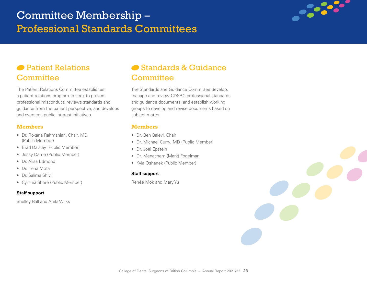# Committee Membership – Professional Standards Committees



# **● Patient Relations Committee**

The Patient Relations Committee establishes a patient relations program to seek to prevent professional misconduct, reviews standards and guidance from the patient perspective, and develops and oversees public interest initiatives.

# **Members**

- Dr. Roxana Rahmanian, Chair, MD (Public Member)
- Brad Daisley (Public Member)
- Jessy Dame (Public Member)
- Dr. Alisa Edmond
- Dr. Irena Mota
- Dr. Salima Shivji
- Cynthia Shore (Public Member)

# **Staff support**

Shelley Ball and Anita Wilks

# ● Standards & Guidance **Committee**

The Standards and Guidance Committee develop, manage and review CDSBC professional standards and guidance documents, and establish working groups to develop and revise documents based on subject-matter.

# **Members**

- Dr. Ben Balevi, Chair
- Dr. Michael Curry, MD (Public Member)
- Dr. Joel Epstein
- Dr. Menachem (Mark) Fogelman
- Kyla Oshanek (Public Member)

# **Staff support**

Renée Mok and Mary Yu

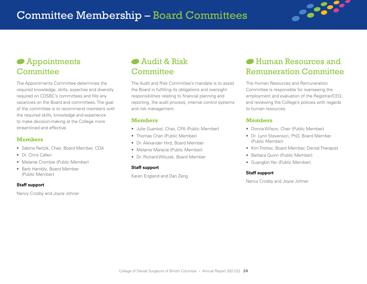

# Appointments **Committee**

The Appointments Committee determines the required knowledge, skills, expertise and diversity required on CDSBC's committees and fills any vacancies on the Board and committees. The goal of the committee is to recommend members with the required skills, knowledge and experience to make decision-making at the College more streamlined and effective.

# **Members**

- Sabina Reitzik, Chair, Board Member, CDA
- Dr. Chris Callen
- Melanie Crombie (Public Member)
- Barb Hambly, Board Member (Public Member)

# **Staff support**

Nancy Crosby and Joyce Johner

# Audit & Risk **Committee**

The Audit and Risk Committee's mandate is to assist the Board in fulfilling its obligations and oversight responsibilities relating to financial planning and reporting, the audit process, internal control systems and risk management.

# **Members**

- Julie Guenkel, Chair, CPA (Public Member)
- Thomas Chan (Public Member)
- Dr. Alexander Hird, Board Member
- Melanie Maracle (Public Member)
- Dr. Richard Wilczek, Board Member

# **Staff support**

Karen England and Dan Zeng

# Human Resources and Remuneration Committee

The Human Resources and Remuneration Committee is responsible for overseeing the employment and evaluation of the Registrar/CEO, and reviewing the College's policies with regards to human resources.

# **Members**

- Donna Wilson, Chair (Public Member)
- Dr. Lynn Stevenson, PhD, Board Member (Public Member)
- Kim Trottier, Board Member, Dental Therapist
- Barbara Quinn (Public Member)
- Guangbin Yan (Public Member)

# **Staff support**

Nancy Crosby and Joyce Johner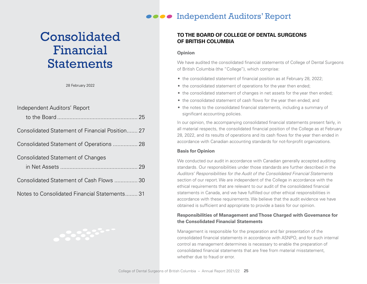# <span id="page-26-0"></span>Consolidated Financial **Statements**

28 February 2022

| Independent Auditors' Report                    |
|-------------------------------------------------|
|                                                 |
| Consolidated Statement of Financial Position 27 |
| Consolidated Statement of Operations  28        |
| <b>Consolidated Statement of Changes</b>        |
|                                                 |
|                                                 |
| Consolidated Statement of Cash Flows  30        |



#### Independent Auditors' Report  $\bullet\bullet\bullet\bullet$

# **TO THE BOARD OF COLLEGE OF DENTAL SURGEONS OF BRITISH COLUMBIA**

# **Opinion**

We have audited the consolidated financial statements of College of Dental Surgeons of British Columbia (the "College"), which comprise:

- the consolidated statement of financial position as at February 28, 2022;
- the consolidated statement of operations for the year then ended;
- the consolidated statement of changes in net assets for the year then ended;
- the consolidated statement of cash flows for the year then ended; and
- the notes to the consolidated financial statements, including a summary of significant accounting policies.

In our opinion, the accompanying consolidated financial statements present fairly, in all material respects, the consolidated financial position of the College as at February 28, 2022, and its results of operations and its cash flows for the year then ended in accordance with Canadian accounting standards for not-for-profit organizations.

# **Basis for Opinion**

We conducted our audit in accordance with Canadian generally accepted auditing standards. Our responsibilities under those standards are further described in the *Auditors' Responsibilities for the Audit of the Consolidated Financial Statements* section of our report. We are independent of the College in accordance with the ethical requirements that are relevant to our audit of the consolidated financial statements in Canada, and we have fulfilled our other ethical responsibilities in accordance with these requirements. We believe that the audit evidence we have obtained is sufficient and appropriate to provide a basis for our opinion.

# **Responsibilities of Management and Those Charged with Governance for the Consolidated Financial Statements**

Management is responsible for the preparation and fair presentation of the consolidated financial statements in accordance with ASNPO, and for such internal control as management determines is necessary to enable the preparation of consolidated financial statements that are free from material misstatement, whether due to fraud or error.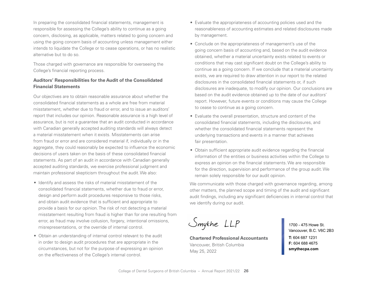In preparing the consolidated financial statements, management is responsible for assessing the College's ability to continue as a going concern, disclosing, as applicable, matters related to going concern and using the going concern basis of accounting unless management either intends to liquidate the College or to cease operations, or has no realistic alternative but to do so.

Those charged with governance are responsible for overseeing the College's financial reporting process.

### **Auditors' Responsibilities for the Audit of the Consolidated Financial Statements**

Our objectives are to obtain reasonable assurance about whether the consolidated financial statements as a whole are free from material misstatement, whether due to fraud or error, and to issue an auditors' report that includes our opinion. Reasonable assurance is a high level of assurance, but is not a guarantee that an audit conducted in accordance with Canadian generally accepted auditing standards will always detect a material misstatement when it exists. Misstatements can arise from fraud or error and are considered material if, individually or in the aggregate, they could reasonably be expected to influence the economic decisions of users taken on the basis of these consolidated financial statements. As part of an audit in accordance with Canadian generally accepted auditing standards, we exercise professional judgment and maintain professional skepticism throughout the audit. We also:

- Identify and assess the risks of material misstatement of the consolidated financial statements, whether due to fraud or error, design and perform audit procedures responsive to those risks, and obtain audit evidence that is sufficient and appropriate to provide a basis for our opinion. The risk of not detecting a material misstatement resulting from fraud is higher than for one resulting from error, as fraud may involve collusion, forgery, intentional omissions, misrepresentations, or the override of internal control.
- Obtain an understanding of internal control relevant to the audit in order to design audit procedures that are appropriate in the circumstances, but not for the purpose of expressing an opinion on the effectiveness of the College's internal control.
- Evaluate the appropriateness of accounting policies used and the reasonableness of accounting estimates and related disclosures made by management.
- Conclude on the appropriateness of management's use of the going concern basis of accounting and, based on the audit evidence obtained, whether a material uncertainty exists related to events or conditions that may cast significant doubt on the College's ability to continue as a going concern. If we conclude that a material uncertainty exists, we are required to draw attention in our report to the related disclosures in the consolidated financial statements or, if such disclosures are inadequate, to modify our opinion. Our conclusions are based on the audit evidence obtained up to the date of our auditors' report. However, future events or conditions may cause the College to cease to continue as a going concern.
- Evaluate the overall presentation, structure and content of the consolidated financial statements, including the disclosures, and whether the consolidated financial statements represent the underlying transactions and events in a manner that achieves fair presentation.
- Obtain sufficient appropriate audit evidence regarding the financial information of the entities or business activities within the College to express an opinion on the financial statements. We are responsible for the direction, supervision and performance of the group audit. We remain solely responsible for our audit opinion.

We communicate with those charged with governance regarding, among other matters, the planned scope and timing of the audit and significant audit findings, including any significant deficiencies in internal control that we identify during our audit.

Smythe LLP

**Chartered Professional Accountants** Vancouver, British Columbia May 25, 2022

1700 - 475 Howe St. Vancouver, B.C. V6C 2B3 **T:** 604 687 1231 **F:** 604 688 4675 **smythecpa.com**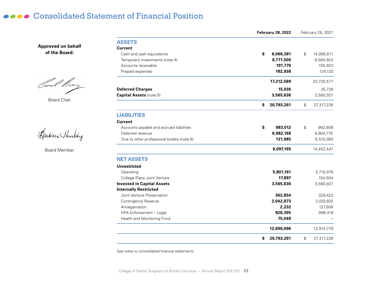#### Consolidated Statement of Financial Position  $\bullet\bullet\bullet\bullet$

**Approved on behalf of the Board:**

Board Chair

Coul Ney

Board Member

Darbara Hanbly

|                                           | <b>February 28, 2022</b> |                | February 28, 2021 |
|-------------------------------------------|--------------------------|----------------|-------------------|
| <b>ASSETS</b>                             |                          |                |                   |
| <b>Current</b>                            |                          |                |                   |
| Cash and cash equivalents                 | \$<br>8,066,381          | \$             | 14,885,611        |
| Temporary investments (note 4)            | 8,771,500                |                | 8,564,923         |
| Accounts receivable                       | 191,770                  |                | 155,923           |
| Prepaid expenses                          | 182,938                  |                | 124,120           |
|                                           | 17,212,589               |                | 23,730,577        |
| <b>Deferred Charges</b>                   | 15,036                   |                | 25,728            |
| Capital Assets (note 5)                   | 3,565,636                |                | 3,560,921         |
|                                           | \$<br>20,793,261         | \$             | 27,317,226        |
| <b>LIABILITIES</b>                        |                          |                |                   |
| <b>Current</b>                            |                          |                |                   |
| Accounts payable and accrued liabilities  | \$<br>983,012            | $\mathfrak{P}$ | 982,608           |
| Deferred revenue                          | 6,982,168                |                | 6,904,779         |
| Due to other professional bodies (note 6) | 131,985                  |                | 6,515,060         |
|                                           | 8,097,165                |                | 14,402,447        |
| <b>NET ASSETS</b>                         |                          |                |                   |
| <b>Unrestricted</b>                       |                          |                |                   |
| Operating                                 | 5,801,161                |                | 5,710,076         |
| College Place Joint Venture               | 17,897                   |                | 154,504           |
| <b>Invested in Capital Assets</b>         | 3,565,636                |                | 3,560,921         |
| <b>Internally Restricted</b>              |                          |                |                   |
| Joint Venture Preservation                | 362,854                  |                | 329,422           |
| Contingency Reserve                       | 2,042,873                |                | 2,033,832         |
| Amalgamation                              | 2,232                    |                | 127,606           |
| HPA Enforcement - Legal                   | 828,395                  |                | 998,418           |
| Health and Monitoring Fund                | 75,048                   |                |                   |
|                                           | 12,696,096               |                | 12,914,779        |
|                                           | \$<br>20,793,261         | \$             | 27,317,226        |
|                                           |                          |                |                   |

See notes to consolidated financial statements

College of Dental Surgeons of British Columbia – Annual Report 2021/22 **27**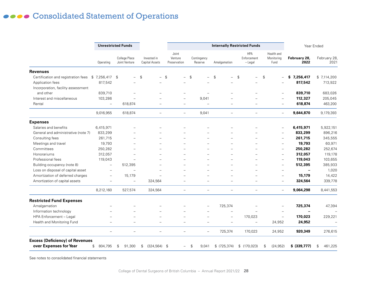# Consolidated Statement of Operations

|                                                                  |                          | <b>Unrestricted Funds</b>      |                                   |                                  |                          | Year Ended               |                               |                                  |                          |                      |
|------------------------------------------------------------------|--------------------------|--------------------------------|-----------------------------------|----------------------------------|--------------------------|--------------------------|-------------------------------|----------------------------------|--------------------------|----------------------|
|                                                                  | Operating                | College Place<br>Joint Venture | Invested in<br>Capital Assets     | Joint<br>Venture<br>Preservation | Contingency<br>Reserve   | Amalgamation             | HPA<br>Enforcement<br>- Legal | Health and<br>Monitoring<br>Fund | February 28,<br>2022     | February 28,<br>2021 |
| <b>Revenues</b>                                                  |                          |                                |                                   |                                  |                          |                          |                               |                                  |                          |                      |
| Certification and registration fees \$7,256,417                  |                          | \$                             | \$                                | $\mathfrak{L}$                   | \$                       | \$                       | $\mathfrak{L}$                | $\mathfrak{P}$                   | 7,256,417<br>\$          | \$7,114,200          |
| Application fees                                                 | 817,542                  |                                |                                   |                                  |                          |                          |                               |                                  | 817,542                  | 713,922              |
| Incorporation, facility assessment                               |                          |                                |                                   |                                  |                          |                          |                               |                                  |                          |                      |
| and other                                                        | 839,710                  |                                | $\overline{a}$                    | $\overline{\phantom{0}}$         | $\overline{\phantom{0}}$ | $\overline{\phantom{0}}$ | $\overline{a}$                | $\qquad \qquad -$                | 839,710                  | 683,026              |
| Interest and miscellaneous                                       | 103,286                  |                                |                                   | $\overline{\phantom{0}}$         | 9,041                    |                          |                               | $\equiv$                         | 112,327                  | 205,045              |
| Rental                                                           | $\overline{\phantom{a}}$ | 618,874                        | $\overline{\phantom{0}}$          | $\overline{\phantom{0}}$         | $\overline{a}$           | $\overline{a}$           | $\overline{\phantom{0}}$      | $\overline{\phantom{0}}$         | 618,874                  | 463,200              |
|                                                                  | 9,016,955                | 618,874                        | $\overline{\phantom{0}}$          | $\qquad \qquad -$                | 9,041                    | $\overline{\phantom{0}}$ | $\overline{\phantom{0}}$      | $\equiv$                         | 9,644,870                | 9,179,393            |
| <b>Expenses</b>                                                  |                          |                                |                                   |                                  |                          |                          |                               |                                  |                          |                      |
| Salaries and benefits                                            | 6,415,971                |                                |                                   |                                  |                          |                          |                               | $\overline{\phantom{0}}$         | 6,415,971                | 5,922,151            |
| General and administrative (note 7)                              | 833,299                  |                                |                                   |                                  |                          |                          |                               | $\overline{\phantom{0}}$         | 833,299                  | 896,216              |
| Consulting fees                                                  | 261,715                  |                                |                                   |                                  |                          |                          |                               | $\overline{\phantom{0}}$         | 261,715                  | 345,555              |
| Meetings and travel                                              | 19,793                   |                                |                                   | $\equiv$                         |                          |                          |                               | $\equiv$                         | 19,793                   | 60,971               |
| Committees                                                       | 250,282                  |                                |                                   | $\overline{\phantom{0}}$         | $\overline{\phantom{0}}$ | $\overline{\phantom{0}}$ | $\overline{\phantom{0}}$      | $\overline{\phantom{m}}$         | 250,282                  | 252,674              |
| Honorariums                                                      | 312,057                  |                                |                                   |                                  |                          |                          |                               | $\overline{\phantom{m}}$         | 312,057                  | 119,178              |
| Professional fees                                                | 119,043                  |                                |                                   |                                  |                          |                          |                               | $\overline{\phantom{m}}$         | 119,043                  | 103,655              |
| Building occupancy (note 8)                                      | $\overline{\phantom{a}}$ | 512,395                        |                                   | $\overline{\phantom{0}}$         | $\overline{\phantom{0}}$ |                          |                               | $\qquad \qquad -$                | 512,395                  | 385,933              |
| Loss on disposal of capital asset                                | $\overline{\phantom{0}}$ |                                |                                   |                                  |                          |                          |                               | $\overline{\phantom{0}}$         | $\overline{\phantom{m}}$ | 1,020                |
| Amortization of deferred charges                                 | $\overline{\phantom{m}}$ | 15,179                         |                                   |                                  |                          |                          |                               | $\overline{\phantom{0}}$         | 15,179                   | 14,422               |
| Amortization of capital assets                                   | $\qquad \qquad -$        | $\overline{\phantom{0}}$       | 324,564                           |                                  | $\overline{a}$           |                          |                               | $\overline{\phantom{0}}$         | 324,564                  | 339,778              |
|                                                                  | 8,212,160                | 527,574                        | 324,564                           | $\overline{\phantom{a}}$         | $\overline{a}$           | $\overline{\phantom{0}}$ | $\overline{a}$                | $\overline{\phantom{0}}$         | 9,064,298                | 8,441,553            |
| <b>Restricted Fund Expenses</b>                                  |                          |                                |                                   |                                  |                          |                          |                               |                                  |                          |                      |
| Amalgamation                                                     |                          |                                |                                   |                                  |                          | 725,374                  |                               |                                  | 725,374                  | 47,394               |
| Information technology                                           |                          |                                |                                   |                                  |                          | $\overline{a}$           |                               | $\equiv$                         |                          |                      |
| HPA Enforcement - Legal                                          |                          |                                |                                   |                                  |                          | $\equiv$                 | 170,023                       | $\equiv$                         | 170,023                  | 229,221              |
| Health and Monitoring Fund                                       |                          |                                | $\overline{\phantom{0}}$          |                                  | $\overline{a}$           | $\overline{a}$           | $\equiv$                      | 24,952                           | 24,952                   |                      |
|                                                                  |                          |                                |                                   |                                  | $\overline{a}$           | 725,374                  | 170,023                       | 24,952                           | 920,349                  | 276,615              |
| <b>Excess (Deficiency) of Revenues</b><br>over Expenses for Year | \$<br>804,795            | 91,300<br>\$                   | $\mathfrak{L}$<br>$(324, 564)$ \$ | $\overline{\phantom{0}}$         | $\mathcal{S}$<br>9.041   | \$(725, 374)             | \$(170.023)                   | $\mathfrak{P}$<br>(24, 952)      | \$ (339,777)             | 461,225<br>\$        |

See notes to consolidated financial statements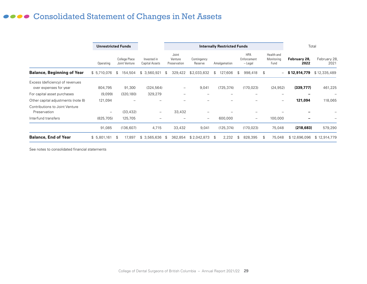# Consolidated Statement of Changes in Net Assets

|                                                           |             | <b>Unrestricted Funds</b>      | <b>Internally Restricted Funds</b>   |      |                                  |                          |   |              |    |                                      |    | Total                            |                      |                      |
|-----------------------------------------------------------|-------------|--------------------------------|--------------------------------------|------|----------------------------------|--------------------------|---|--------------|----|--------------------------------------|----|----------------------------------|----------------------|----------------------|
|                                                           | Operating   | College Place<br>Joint Venture | Invested in<br><b>Capital Assets</b> |      | Joint<br>Venture<br>Preservation | Contingency<br>Reserve   |   | Amalgamation |    | <b>HPA</b><br>Enforcement<br>– Legal |    | Health and<br>Monitoring<br>Fund | February 28,<br>2022 | February 28,<br>2021 |
| <b>Balance, Beginning of Year</b>                         | \$5,710,076 | 154,504<br>S                   | \$3,560,921                          | S    | 329,422                          | \$2,033,832              | S | 127,606      | S. | 998,418                              | S. | $-$                              | \$12,914,779         | \$12,335,489         |
| Excess (deficiency) of revenues<br>over expenses for year | 804,795     | 91,300                         | (324, 564)                           |      | $\qquad \qquad -$                | 9,041                    |   | (725, 374)   |    | (170, 023)                           |    | (24, 952)                        | (339,777)            | 461,225              |
| For capital asset purchases                               | (9,099)     | (320, 180)                     | 329,279                              |      |                                  |                          |   |              |    |                                      |    | -                                |                      |                      |
| Other capital adjustments (note 8)                        | 121,094     |                                |                                      |      |                                  |                          |   |              |    |                                      |    | $\overline{\phantom{0}}$         | 121,094              | 118,065              |
| Contributions to Joint Venture<br>Preservation            | -           | (33, 432)                      | $\qquad \qquad -$                    |      | 33,432                           | $\overline{\phantom{m}}$ |   |              |    |                                      |    |                                  |                      |                      |
| Interfund transfers                                       | (825, 705)  | 125,705                        |                                      |      |                                  | Ξ.                       |   | 600,000      |    | $\overline{\phantom{0}}$             |    | 100,000                          |                      |                      |
|                                                           | 91,085      | (136, 607)                     | 4,715                                |      | 33,432                           | 9,041                    |   | (125, 374)   |    | (170, 023)                           |    | 75,048                           | (218, 683)           | 579,290              |
| <b>Balance, End of Year</b>                               | \$5,801,161 | 17,897<br>-S                   | \$3,565,636                          | - \$ | 362,854                          | \$2,042,873              | S | 2,232        | \$ | 828,395                              | S. | 75,048                           | \$12,696,096         | \$12,914,779         |

See notes to consolidated financial statements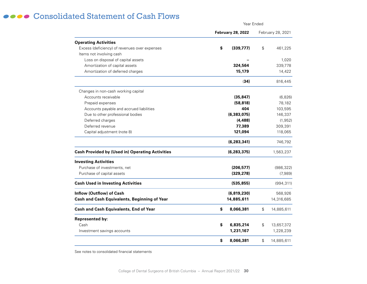# Consolidated Statement of Cash Flows

|                                                        | Year Ended               |                   |            |  |  |
|--------------------------------------------------------|--------------------------|-------------------|------------|--|--|
|                                                        | <b>February 28, 2022</b> | February 28, 2021 |            |  |  |
| <b>Operating Activities</b>                            |                          |                   |            |  |  |
| Excess (deficiency) of revenues over expenses          | \$<br>(339,777)          | \$                | 461,225    |  |  |
| Items not involving cash                               |                          |                   |            |  |  |
| Loss on disposal of capital assets                     |                          |                   | 1,020      |  |  |
| Amortization of capital assets                         | 324,564                  |                   | 339,778    |  |  |
| Amortization of deferred charges                       | 15,179                   |                   | 14,422     |  |  |
|                                                        | (34)                     |                   | 816,445    |  |  |
| Changes in non-cash working capital                    |                          |                   |            |  |  |
| Accounts receivable                                    | (35, 847)                |                   | (6,826)    |  |  |
| Prepaid expenses                                       | (58, 818)                |                   | 78,182     |  |  |
| Accounts payable and accrued liabilities               | 404                      |                   | 103,595    |  |  |
| Due to other professional bodies                       | (6, 383, 075)            |                   | 146,337    |  |  |
| Deferred charges                                       | (4, 488)                 |                   | (1, 952)   |  |  |
| Deferred revenue                                       | 77,389                   |                   | 309,391    |  |  |
| Capital adjustment (note 8)                            | 121,094                  |                   | 118,065    |  |  |
|                                                        | (6, 283, 341)            |                   | 746,792    |  |  |
| <b>Cash Provided by (Used in) Operating Activities</b> | (6, 283, 375)            |                   | 1,563,237  |  |  |
| <b>Investing Activities</b>                            |                          |                   |            |  |  |
| Purchase of investments, net                           | (206, 577)               |                   | (986, 322) |  |  |
| Purchase of capital assets                             | (329, 278)               |                   | (7,989)    |  |  |
| <b>Cash Used in Investing Activities</b>               | (535, 855)               |                   | (994, 311) |  |  |
| Inflow (Outflow) of Cash                               | (6, 819, 230)            |                   | 568,926    |  |  |
| <b>Cash and Cash Equivalents, Beginning of Year</b>    | 14,885,611               |                   | 14,316,685 |  |  |
| <b>Cash and Cash Equivalents, End of Year</b>          | \$<br>8,066,381          | \$                | 14,885,611 |  |  |
| <b>Represented by:</b>                                 |                          |                   |            |  |  |
| Cash                                                   | \$<br>6,835,214          | \$                | 13,657,372 |  |  |
| Investment savings accounts                            | 1,231,167                |                   | 1,228,239  |  |  |
|                                                        | \$<br>8,066,381          | \$                | 14,885,611 |  |  |

See notes to consolidated financial statements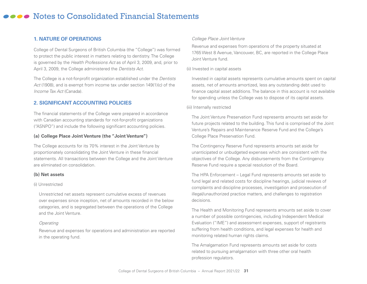# **ORCO** Notes to Consolidated Financial Statements

### **1. NATURE OF OPERATIONS**

College of Dental Surgeons of British Columbia (the "College") was formed to protect the public interest in matters relating to dentistry. The College is governed by the *Health Professions Act* as of April 3, 2009, and, prior to April 3, 2009, the College administered the *Dentists Act*.

The College is a not-for-profit organization established under the *Dentists Act* (1908), and is exempt from income tax under section 149(1)(c) of the *Income Tax Act* (Canada).

# **2. SIGNIFICANT ACCOUNTING POLICIES**

The financial statements of the College were prepared in accordance with Canadian accounting standards for not-for-profit organizations ("ASNPO") and include the following significant accounting policies.

#### **(a) College Place Joint Venture (the "Joint Venture")**

The College accounts for its 70% interest in the Joint Venture by proportionately consolidating the Joint Venture in these financial statements. All transactions between the College and the Joint Venture are eliminated on consolidation.

#### **(b) Net assets**

#### (i) Unrestricted

Unrestricted net assets represent cumulative excess of revenues over expenses since inception, net of amounts recorded in the below categories, and is segregated between the operations of the College and the Joint Venture.

#### *Operating*

Revenue and expenses for operations and administration are reported in the operating fund.

#### *College Place Joint Venture*

Revenue and expenses from operations of the property situated at 1765 West 8 Avenue, Vancouver, BC, are reported in the College Place Joint Venture fund.

#### (ii) Invested in capital assets

Invested in capital assets represents cumulative amounts spent on capital assets, net of amounts amortized, less any outstanding debt used to finance capital asset additions. The balance in this account is not available for spending unless the College was to dispose of its capital assets.

#### (iii) Internally restricted

The Joint Venture Preservation Fund represents amounts set aside for future projects related to the building. This fund is comprised of the Joint Venture's Repairs and Maintenance Reserve Fund and the College's College Place Preservation Fund.

The Contingency Reserve Fund represents amounts set aside for unanticipated or unbudgeted expenses which are consistent with the objectives of the College. Any disbursements from the Contingency Reserve Fund require a special resolution of the Board.

The HPA Enforcement – Legal Fund represents amounts set aside to fund legal and related costs for discipline hearings, judicial reviews of complaints and discipline processes, investigation and prosecution of illegal/unauthorized practice matters, and challenges to registration decisions.

The Health and Monitoring Fund represents amounts set aside to cover a number of possible contingencies, including Independent Medical Evaluation ("IME") and assessment expenses, support of registrants suffering from health conditions, and legal expenses for health and monitoring related human rights claims.

The Amalgamation Fund represents amounts set aside for costs related to pursuing amalgamation with three other oral health profession regulators.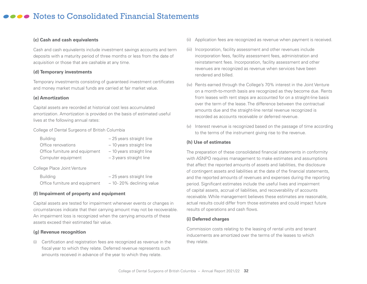# **ORCO** Notes to Consolidated Financial Statements

#### **(c) Cash and cash equivalents**

Cash and cash equivalents include investment savings accounts and term deposits with a maturity period of three months or less from the date of acquisition or those that are cashable at any time.

#### **(d) Temporary investments**

Temporary investments consisting of guaranteed investment certificates and money market mutual funds are carried at fair market value.

#### **(e) Amortization**

Capital assets are recorded at historical cost less accumulated amortization. Amortization is provided on the basis of estimated useful lives at the following annual rates:

#### College of Dental Surgeons of British Columbia

| <b>Building</b>                | - 25 years straight line  |
|--------------------------------|---------------------------|
| Office renovations             | - 10 years straight line  |
| Office furniture and equipment | $-10$ years straight line |
| Computer equipment             | $-3$ years straight line  |

College Place Joint Venture

| Building                       | - 25 years straight line   |
|--------------------------------|----------------------------|
| Office furniture and equipment | $-10-20\%$ declining value |

### **(f) Impairment of property and equipment**

Capital assets are tested for impairment whenever events or changes in circumstances indicate that their carrying amount may not be recoverable. An impairment loss is recognized when the carrying amounts of these assets exceed their estimated fair value.

#### **(g) Revenue recognition**

(i) Certification and registration fees are recognized as revenue in the fiscal year to which they relate. Deferred revenue represents such amounts received in advance of the year to which they relate.

- (ii) Application fees are recognized as revenue when payment is received.
- (iii) Incorporation, facility assessment and other revenues include incorporation fees, facility assessment fees, administration and reinstatement fees. Incorporation, facility assessment and other revenues are recognized as revenue when services have been rendered and billed.
- (iv) Rents earned through the College's 70% interest in the Joint Venture on a month-to-month basis are recognized as they become due. Rents from leases with rent steps are accounted for on a straight-line basis over the term of the lease. The difference between the contractual amounts due and the straight-line rental revenue recognized is recorded as accounts receivable or deferred revenue.
- (v) Interest revenue is recognized based on the passage of time according to the terms of the instrument giving rise to the revenue.

#### **(h) Use of estimates**

The preparation of these consolidated financial statements in conformity with ASNPO requires management to make estimates and assumptions that affect the reported amounts of assets and liabilities, the disclosure of contingent assets and liabilities at the date of the financial statements, and the reported amounts of revenues and expenses during the reporting period. Significant estimates include the useful lives and impairment of capital assets, accrual of liabilities, and recoverability of accounts receivable. While management believes these estimates are reasonable, actual results could differ from those estimates and could impact future results of operations and cash flows.

#### **(i) Deferred charges**

Commission costs relating to the leasing of rental units and tenant inducements are amortized over the terms of the leases to which they relate.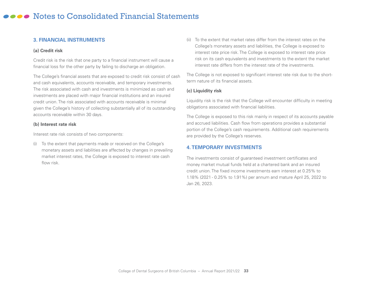# **3. FINANCIAL INSTRUMENTS**

#### **(a) Credit risk**

Credit risk is the risk that one party to a financial instrument will cause a financial loss for the other party by failing to discharge an obligation.

The College's financial assets that are exposed to credit risk consist of cash and cash equivalents, accounts receivable, and temporary investments. The risk associated with cash and investments is minimized as cash and investments are placed with major financial institutions and an insured credit union. The risk associated with accounts receivable is minimal given the College's history of collecting substantially all of its outstanding accounts receivable within 30 days.

### **(b) Interest rate risk**

Interest rate risk consists of two components:

(i) To the extent that payments made or received on the College's monetary assets and liabilities are affected by changes in prevailing market interest rates, the College is exposed to interest rate cash flow risk.

(ii) To the extent that market rates differ from the interest rates on the College's monetary assets and liabilities, the College is exposed to interest rate price risk. The College is exposed to interest rate price risk on its cash equivalents and investments to the extent the market interest rate differs from the interest rate of the investments.

The College is not exposed to significant interest rate risk due to the shortterm nature of its financial assets.

### **(c) Liquidity risk**

Liquidity risk is the risk that the College will encounter difficulty in meeting obligations associated with financial liabilities.

The College is exposed to this risk mainly in respect of its accounts payable and accrued liabilities. Cash flow from operations provides a substantial portion of the College's cash requirements. Additional cash requirements are provided by the College's reserves.

# **4. TEMPORARY INVESTMENTS**

The investments consist of guaranteed investment certificates and money market mutual funds held at a chartered bank and an insured credit union. The fixed income investments earn interest at 0.25% to 1.18% (2021 - 0.25% to 1.91%) per annum and mature April 25, 2022 to Jan 26, 2023.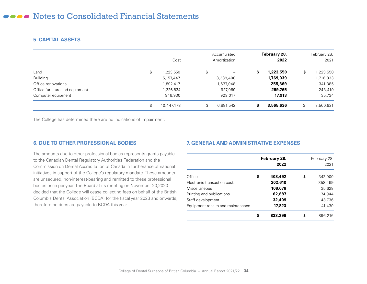# **5. CAPITAL ASSETS**

|                                |    | Cost       | Accumulated<br>Amortization    |   | February 28,<br>2022 | February 28,<br>2021 |
|--------------------------------|----|------------|--------------------------------|---|----------------------|----------------------|
| Land                           | D  | 1,223,550  | \$<br>$\overline{\phantom{m}}$ | S | 1,223,550            | \$<br>1,223,550      |
| <b>Building</b>                |    | 5,157,447  | 3,388,408                      |   | 1,769,039            | 1,716,833            |
| Office renovations             |    | ,892,417   | 1,637,048                      |   | 255,369              | 341,385              |
| Office furniture and equipment |    | 1,226,834  | 927,069                        |   | 299,765              | 243,419              |
| Computer equipment             |    | 946,930    | 929,017                        |   | 17,913               | 35,734               |
|                                | \$ | 10,447,178 | \$<br>6,881,542                | S | 3,565,636            | \$<br>3,560,921      |

The College has determined there are no indications of impairment.

### **6. DUE TO OTHER PROFESSIONAL BODIES**

The amounts due to other professional bodies represents grants payable to the Canadian Dental Regulatory Authorities Federation and the Commission on Dental Accreditation of Canada in furtherance of national initiatives in support of the College's regulatory mandate. These amounts are unsecured, non-interest-bearing and remitted to these professional bodies once per year. The Board at its meeting on November 20,2020 decided that the College will cease collecting fees on behalf of the British Columbia Dental Association (BCDA) for the fiscal year 2023 and onwards, therefore no dues are payable to BCDA this year.

# **7. GENERAL AND ADMINISTRATIVE EXPENSES**

|                                   | February 28,<br>2022 | February 28,<br>2021 |
|-----------------------------------|----------------------|----------------------|
| Office                            | \$<br>408,492        | \$<br>342,000        |
| Electronic transaction costs      | 202,610              | 358,469              |
| Miscellaneous                     | 109,078              | 35,628               |
| Printing and publications         | 62,887               | 74,944               |
| Staff development                 | 32,409               | 43,736               |
| Equipment repairs and maintenance | 17,823               | 41,439               |
|                                   | \$<br>833,299        | \$<br>896,216        |
|                                   |                      |                      |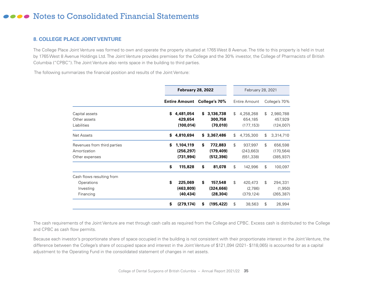# $\bullet \bullet \bullet \bullet$  Notes to Consolidated Financial Statements

### **8. COLLEGE PLACE JOINT VENTURE**

The College Place Joint Venture was formed to own and operate the property situated at 1765 West 8 Avenue. The title to this property is held in trust by 1765 West 8 Avenue Holdings Ltd. The Joint Venture provides premises for the College and the 30% investor, the College of Pharmacists of British Columbia ("CPBC"). The Joint Venture also rents space in the building to third parties.

The following summarizes the financial position and results of the Joint Venture:

|                             | <b>February 28, 2022</b>           |    |            | February 28, 2021 |               |                |               |
|-----------------------------|------------------------------------|----|------------|-------------------|---------------|----------------|---------------|
|                             | <b>Entire Amount</b> College's 70% |    |            |                   | Entire Amount |                | College's 70% |
| Capital assets              | \$<br>4,481,054                    | \$ | 3,136,738  | \$                | 4,258,268     | \$             | 2,980,788     |
| Other assets                | 429,654                            |    | 300,758    |                   | 654,185       |                | 457,929       |
| Liabilities                 | (100, 014)                         |    | (70, 010)  |                   | (177, 153)    |                | (124, 007)    |
| <b>Net Assets</b>           | \$<br>4,810,694                    | \$ | 3,367,486  | \$                | 4,735,300     | \$             | 3,314,710     |
| Revenues from third parties | \$<br>1,104,119                    | \$ | 772,883    | \$                | 937,997       | \$             | 656,598       |
| Amortization                | (256, 297)                         |    | (179, 409) |                   | (243, 663)    |                | (170, 564)    |
| Other expenses              | (731, 994)                         |    | (512, 396) |                   | (551, 338)    |                | (385, 937)    |
|                             | \$<br>115,828                      | \$ | 81,078     | \$                | 142,996       | $\mathfrak{P}$ | 100,097       |
| Cash flows resulting from   |                                    |    |            |                   |               |                |               |
| Operations                  | \$<br>225,069                      | \$ | 157,548    | $\mathbb{S}$      | 420,473       | \$             | 294,331       |
| Investing                   | (463, 809)                         |    | (324, 666) |                   | (2,786)       |                | (1,950)       |
| Financing                   | (40, 434)                          |    | (28, 304)  |                   | (379, 124)    |                | (265, 387)    |
|                             | \$<br>(279, 174)                   | \$ | (195, 422) | \$                | 38,563        | \$             | 26,994        |

The cash requirements of the Joint Venture are met through cash calls as required from the College and CPBC. Excess cash is distributed to the College and CPBC as cash flow permits.

Because each investor's proportionate share of space occupied in the building is not consistent with their proportionate interest in the Joint Venture, the difference between the College's share of occupied space and interest in the Joint Venture of \$121,094 (2021 - \$118,065) is accounted for as a capital adjustment to the Operating Fund in the consolidated statement of changes in net assets.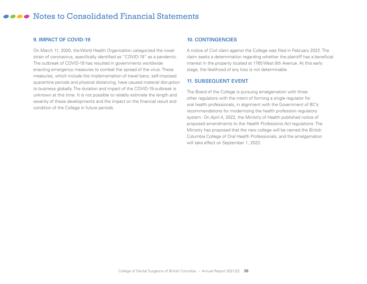### **9. IMPACT OF COVID-19**

On March 11, 2020, the World Health Organization categorized the novel strain of coronavirus, specifically identified as "COVID-19" as a pandemic. The outbreak of COVID-19 has resulted in governments worldwide enacting emergency measures to combat the spread of the virus. These measures, which include the implementation of travel bans, self-imposed quarantine periods and physical distancing, have caused material disruption to business globally. The duration and impact of the COVID-19 outbreak is unknown at this time. It is not possible to reliably estimate the length and severity of these developments and the impact on the financial result and condition of the College in future periods.

# **10. CONTINGENCIES**

A notice of Civil claim against the College was filed in February 2022. The claim seeks a determination regarding whether the plaintiff has a beneficial interest in the property located at 1765 West 8th Avenue. At this early stage, the likelihood of any loss is not determinable

# **11. SUBSEQUENT EVENT**

The Board of the College is pursuing amalgamation with three other regulators with the intent of forming a single regulator for oral health professionals, in alignment with the Government of BC's recommendations for modernizing the health profession regulatory system. On April 4, 2022, the Ministry of Health published notice of proposed amendments to the *Health Professions Act* regulations. The Ministry has proposed that the new college will be named the British Columbia College of Oral Health Professionals, and the amalgamation will take effect on September 1, 2022.